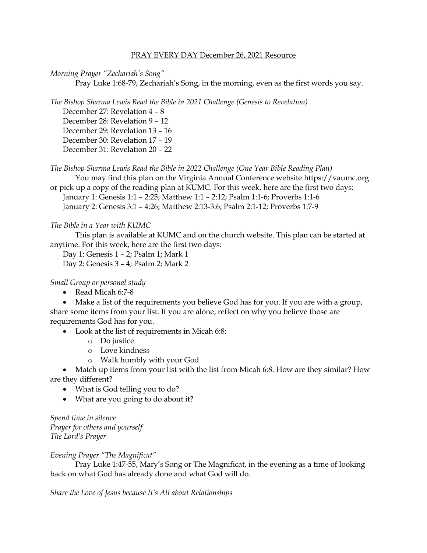#### PRAY EVERY DAY December 26, 2021 Resource

#### *Morning Prayer "Zechariah's Song"*

Pray Luke 1:68-79, Zechariah's Song, in the morning, even as the first words you say.

*The Bishop Sharma Lewis Read the Bible in 2021 Challenge (Genesis to Revelation)*

December 27: Revelation 4 – 8 December 28: Revelation 9 – 12 December 29: Revelation 13 – 16 December 30: Revelation 17 – 19 December 31: Revelation 20 – 22

*The Bishop Sharma Lewis Read the Bible in 2022 Challenge (One Year Bible Reading Plan)*

You may find this plan on the Virginia Annual Conference website [https://vaumc.org](https://vaumc.org/) or pick up a copy of the reading plan at KUMC. For this week, here are the first two days:

January 1: Genesis 1:1 – 2:25; Matthew 1:1 – 2:12; Psalm 1:1-6; Proverbs 1:1-6 January 2: Genesis 3:1 – 4:26; Matthew 2:13-3:6; Psalm 2:1-12; Proverbs 1:7-9

## *The Bible in a Year with KUMC*

This plan is available at KUMC and on the church website. This plan can be started at anytime. For this week, here are the first two days:

Day 1: Genesis 1 – 2; Psalm 1; Mark 1 Day 2: Genesis 3 – 4; Psalm 2; Mark 2

## *Small Group or personal study*

• Read Micah 6:7-8

• Make a list of the requirements you believe God has for you. If you are with a group, share some items from your list. If you are alone, reflect on why you believe those are requirements God has for you.

- Look at the list of requirements in Micah 6:8:
	- o Do justice
	- o Love kindness
	- o Walk humbly with your God

• Match up items from your list with the list from Micah 6:8. How are they similar? How are they different?

- What is God telling you to do?
- What are you going to do about it?

*Spend time in silence Prayer for others and yourself The Lord's Prayer*

## *Evening Prayer "The Magnificat"*

Pray Luke 1:47-55, Mary's Song or The Magnificat, in the evening as a time of looking back on what God has already done and what God will do.

*Share the Love of Jesus because It's All about Relationships*